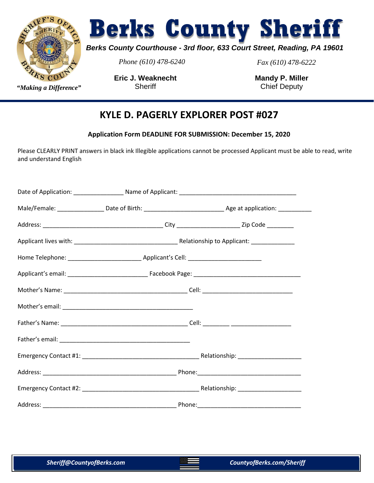

# **Berks County Sheriff**

### *Berks County Courthouse - 3rd floor, 633 Court Street, Reading, PA 19601*

*Phone (610) 478-6240 Fax (610) 478-6222*

**Eric J. Weaknecht Sheriff** *"Making a Difference"* Sheriff Chief Deputy

**Mandy P. Miller**

### **KYLE D. PAGERLY EXPLORER POST #027**

**Application Form DEADLINE FOR SUBMISSION: December 15, 2020**

Please CLEARLY PRINT answers in black ink Illegible applications cannot be processed Applicant must be able to read, write and understand English

|  | Male/Female: __________________Date of Birth: ___________________________________Age at application: ____________ |
|--|-------------------------------------------------------------------------------------------------------------------|
|  |                                                                                                                   |
|  |                                                                                                                   |
|  |                                                                                                                   |
|  |                                                                                                                   |
|  |                                                                                                                   |
|  |                                                                                                                   |
|  |                                                                                                                   |
|  |                                                                                                                   |
|  |                                                                                                                   |
|  |                                                                                                                   |
|  |                                                                                                                   |
|  |                                                                                                                   |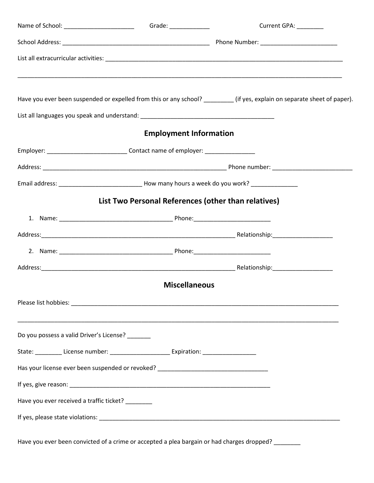|                                                 |                                                                                                     | Current GPA: _________                                                                                                   |
|-------------------------------------------------|-----------------------------------------------------------------------------------------------------|--------------------------------------------------------------------------------------------------------------------------|
|                                                 |                                                                                                     |                                                                                                                          |
|                                                 |                                                                                                     |                                                                                                                          |
|                                                 |                                                                                                     | Have you ever been suspended or expelled from this or any school? ________ (if yes, explain on separate sheet of paper). |
|                                                 |                                                                                                     |                                                                                                                          |
|                                                 | <b>Employment Information</b>                                                                       |                                                                                                                          |
|                                                 | Employer: _______________________________Contact name of employer: _____________                    |                                                                                                                          |
|                                                 |                                                                                                     |                                                                                                                          |
|                                                 |                                                                                                     |                                                                                                                          |
|                                                 | List Two Personal References (other than relatives)                                                 |                                                                                                                          |
|                                                 |                                                                                                     |                                                                                                                          |
|                                                 |                                                                                                     |                                                                                                                          |
|                                                 |                                                                                                     |                                                                                                                          |
|                                                 |                                                                                                     |                                                                                                                          |
|                                                 | <b>Miscellaneous</b>                                                                                |                                                                                                                          |
|                                                 |                                                                                                     |                                                                                                                          |
|                                                 |                                                                                                     | ,我们也不能在这里的时候,我们也不能在这里的时候,我们也不能会在这里的时候,我们也不能会在这里的时候,我们也不能会在这里的时候,我们也不能会在这里的时候,我们也不                                        |
| Do you possess a valid Driver's License?        |                                                                                                     |                                                                                                                          |
|                                                 | State: __________ License number: __________________________ Expiration: __________________________ |                                                                                                                          |
|                                                 | Has your license ever been suspended or revoked? _______________________________                    |                                                                                                                          |
|                                                 |                                                                                                     |                                                                                                                          |
| Have you ever received a traffic ticket? ______ |                                                                                                     |                                                                                                                          |
|                                                 |                                                                                                     |                                                                                                                          |
|                                                 |                                                                                                     |                                                                                                                          |

Have you ever been convicted of a crime or accepted a plea bargain or had charges dropped? \_\_\_\_\_\_\_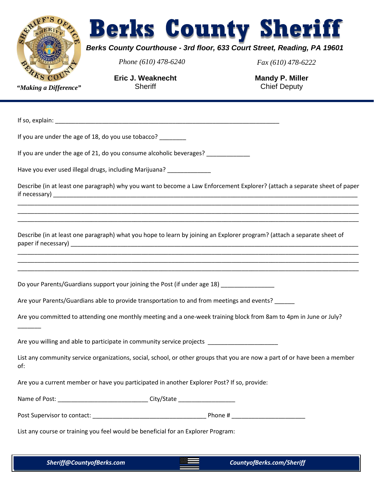

# **Berks County Sheriff**

#### *Berks County Courthouse - 3rd floor, 633 Court Street, Reading, PA 19601*

*Phone (610) 478-6240 Fax (610) 478-6222*

**Eric J. Weaknecht Sheriff** *"Making a Difference"* Sheriff Chief Deputy

**Mandy P. Miller**

If so, explain:  $\Box$ 

 $\overline{\phantom{a}}$ 

If you are under the age of 18, do you use tobacco? \_\_\_\_\_\_\_\_

If you are under the age of 21, do you consume alcoholic beverages? \_\_\_\_\_\_\_\_\_\_\_\_

Have you ever used illegal drugs, including Marijuana?

Describe (in at least one paragraph) why you want to become a Law Enforcement Explorer? (attach a separate sheet of paper if necessary)

\_\_\_\_\_\_\_\_\_\_\_\_\_\_\_\_\_\_\_\_\_\_\_\_\_\_\_\_\_\_\_\_\_\_\_\_\_\_\_\_\_\_\_\_\_\_\_\_\_\_\_\_\_\_\_\_\_\_\_\_\_\_\_\_\_\_\_\_\_\_\_\_\_\_\_\_\_\_\_\_\_\_\_\_\_\_\_\_\_\_\_\_\_\_\_\_\_\_\_\_\_\_ \_\_\_\_\_\_\_\_\_\_\_\_\_\_\_\_\_\_\_\_\_\_\_\_\_\_\_\_\_\_\_\_\_\_\_\_\_\_\_\_\_\_\_\_\_\_\_\_\_\_\_\_\_\_\_\_\_\_\_\_\_\_\_\_\_\_\_\_\_\_\_\_\_\_\_\_\_\_\_\_\_\_\_\_\_\_\_\_\_\_\_\_\_\_\_\_\_\_\_\_\_\_ \_\_\_\_\_\_\_\_\_\_\_\_\_\_\_\_\_\_\_\_\_\_\_\_\_\_\_\_\_\_\_\_\_\_\_\_\_\_\_\_\_\_\_\_\_\_\_\_\_\_\_\_\_\_\_\_\_\_\_\_\_\_\_\_\_\_\_\_\_\_\_\_\_\_\_\_\_\_\_\_\_\_\_\_\_\_\_\_\_\_\_\_\_\_\_\_\_\_\_\_\_\_

Describe (in at least one paragraph) what you hope to learn by joining an Explorer program? (attach a separate sheet of paper if necessary) \_\_\_\_\_\_\_\_\_\_\_\_\_\_\_\_\_\_\_\_\_\_\_\_\_\_\_\_\_\_\_\_\_\_\_\_\_\_\_\_\_\_\_\_\_\_\_\_\_\_\_\_\_\_\_\_\_\_\_\_\_\_\_\_\_\_\_\_\_\_\_\_\_\_\_\_\_\_\_\_\_\_\_\_\_\_

\_\_\_\_\_\_\_\_\_\_\_\_\_\_\_\_\_\_\_\_\_\_\_\_\_\_\_\_\_\_\_\_\_\_\_\_\_\_\_\_\_\_\_\_\_\_\_\_\_\_\_\_\_\_\_\_\_\_\_\_\_\_\_\_\_\_\_\_\_\_\_\_\_\_\_\_\_\_\_\_\_\_\_\_\_\_\_\_\_\_\_\_\_\_\_\_\_\_\_\_\_\_ \_\_\_\_\_\_\_\_\_\_\_\_\_\_\_\_\_\_\_\_\_\_\_\_\_\_\_\_\_\_\_\_\_\_\_\_\_\_\_\_\_\_\_\_\_\_\_\_\_\_\_\_\_\_\_\_\_\_\_\_\_\_\_\_\_\_\_\_\_\_\_\_\_\_\_\_\_\_\_\_\_\_\_\_\_\_\_\_\_\_\_\_\_\_\_\_\_\_\_\_\_\_ \_\_\_\_\_\_\_\_\_\_\_\_\_\_\_\_\_\_\_\_\_\_\_\_\_\_\_\_\_\_\_\_\_\_\_\_\_\_\_\_\_\_\_\_\_\_\_\_\_\_\_\_\_\_\_\_\_\_\_\_\_\_\_\_\_\_\_\_\_\_\_\_\_\_\_\_\_\_\_\_\_\_\_\_\_\_\_\_\_\_\_\_\_\_\_\_\_\_\_\_\_\_

Do your Parents/Guardians support your joining the Post (if under age 18)

Are your Parents/Guardians able to provide transportation to and from meetings and events?

Are you committed to attending one monthly meeting and a one-week training block from 8am to 4pm in June or July?

Are you willing and able to participate in community service projects \_\_\_\_\_\_\_\_\_\_\_

List any community service organizations, social, school, or other groups that you are now a part of or have been a member of:

Are you a current member or have you participated in another Explorer Post? If so, provide:

| Name of Post: | City/State |  |
|---------------|------------|--|
|               |            |  |

Post Supervisor to contact:  $\blacksquare$ 

List any course or training you feel would be beneficial for an Explorer Program: